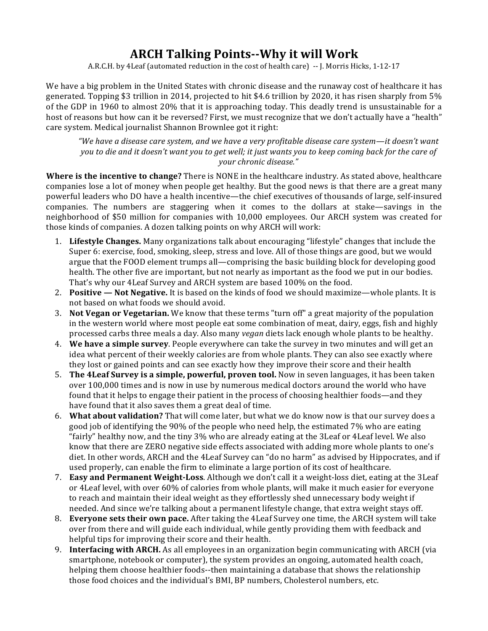## **ARCH Talking Points--Why it will Work**

A.R.C.H. by 4Leaf (automated reduction in the cost of health care) -- J. Morris Hicks, 1-12-17

We have a big problem in the United States with chronic disease and the runaway cost of healthcare it has generated. Topping \$3 trillion in 2014, projected to hit \$4.6 trillion by 2020, it has risen sharply from 5% of the GDP in 1960 to almost 20% that it is approaching today. This deadly trend is unsustainable for a host of reasons but how can it be reversed? First, we must recognize that we don't actually have a "health" care system. Medical journalist Shannon Brownlee got it right:

"We have a disease care system, and we have a very profitable disease care system—it doesn't want *you* to die and it doesn't want you to get well; it just wants you to keep coming back for the care of *your chronic disease."*

**Where is the incentive to change?** There is NONE in the healthcare industry. As stated above, healthcare companies lose a lot of money when people get healthy. But the good news is that there are a great many powerful leaders who DO have a health incentive—the chief executives of thousands of large, self-insured companies. The numbers are staggering when it comes to the dollars at stake—savings in the neighborhood of \$50 million for companies with 10,000 employees. Our ARCH system was created for those kinds of companies. A dozen talking points on why ARCH will work:

- 1. Lifestyle Changes. Many organizations talk about encouraging "lifestyle" changes that include the Super 6: exercise, food, smoking, sleep, stress and love. All of those things are good, but we would argue that the FOOD element trumps all—comprising the basic building block for developing good health. The other five are important, but not nearly as important as the food we put in our bodies. That's why our 4Leaf Survey and ARCH system are based 100% on the food.
- 2. **Positive Not Negative.** It is based on the kinds of food we should maximize—whole plants. It is not based on what foods we should avoid.
- 3. **Not Vegan or Vegetarian.** We know that these terms "turn off" a great majority of the population in the western world where most people eat some combination of meat, dairy, eggs, fish and highly processed carbs three meals a day. Also many *vegan* diets lack enough whole plants to be healthy.
- 4. **We have a simple survey**. People everywhere can take the survey in two minutes and will get an idea what percent of their weekly calories are from whole plants. They can also see exactly where they lost or gained points and can see exactly how they improve their score and their health
- 5. **The 4Leaf Survey is a simple, powerful, proven tool.** Now in seven languages, it has been taken over 100,000 times and is now in use by numerous medical doctors around the world who have found that it helps to engage their patient in the process of choosing healthier foods—and they have found that it also saves them a great deal of time.
- 6. **What about validation?** That will come later, but what we do know now is that our survey does a good job of identifying the 90% of the people who need help, the estimated 7% who are eating "fairly" healthy now, and the tiny 3% who are already eating at the 3Leaf or 4Leaf level. We also know that there are ZERO negative side effects associated with adding more whole plants to one's diet. In other words, ARCH and the 4Leaf Survey can "do no harm" as advised by Hippocrates, and if used properly, can enable the firm to eliminate a large portion of its cost of healthcare.
- 7. **Easy and Permanent Weight-Loss**. Although we don't call it a weight-loss diet, eating at the 3Leaf or 4Leaf level, with over 60% of calories from whole plants, will make it much easier for everyone to reach and maintain their ideal weight as they effortlessly shed unnecessary body weight if needed. And since we're talking about a permanent lifestyle change, that extra weight stays off.
- 8. **Everyone sets their own pace.** After taking the 4Leaf Survey one time, the ARCH system will take over from there and will guide each individual, while gently providing them with feedback and helpful tips for improving their score and their health.
- 9. **Interfacing with ARCH.** As all employees in an organization begin communicating with ARCH (via smartphone, notebook or computer), the system provides an ongoing, automated health coach, helping them choose healthier foods--then maintaining a database that shows the relationship those food choices and the individual's BMI, BP numbers, Cholesterol numbers, etc.